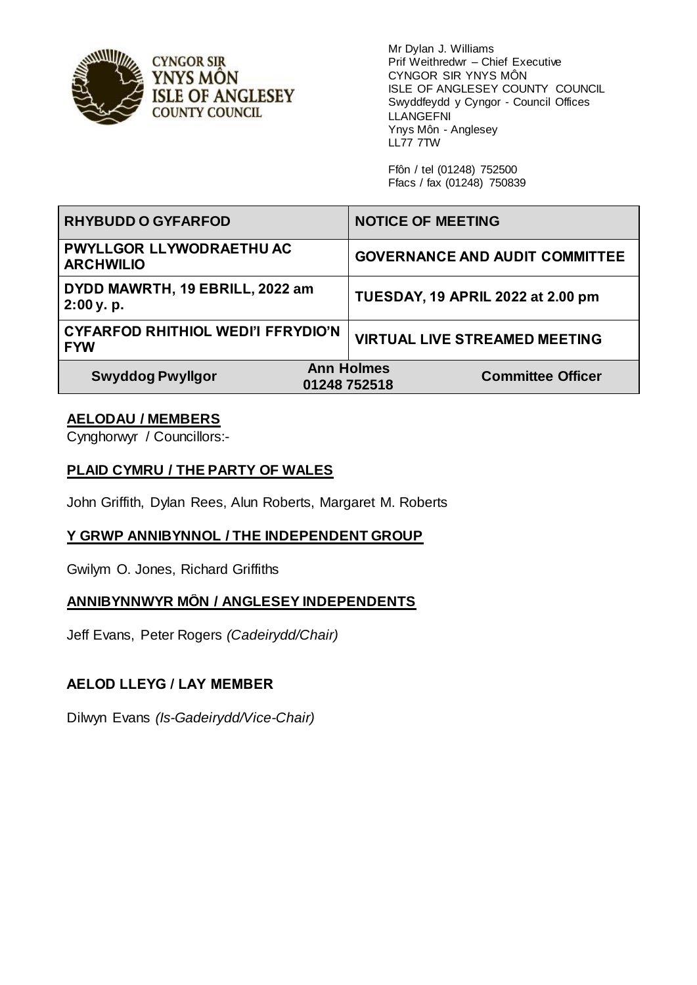

Mr Dylan J. Williams Prif Weithredwr – Chief Executive CYNGOR SIR YNYS MÔN ISLE OF ANGLESEY COUNTY COUNCIL Swyddfeydd y Cyngor - Council Offices LLANGEFNI Ynys Môn - Anglesey LL77 7TW

Ffôn / tel (01248) 752500 Ffacs / fax (01248) 750839

| <b>RHYBUDD O GYFARFOD</b>                               | <b>NOTICE OF MEETING</b>                                      |
|---------------------------------------------------------|---------------------------------------------------------------|
| <b>PWYLLGOR LLYWODRAETHU AC</b><br><b>ARCHWILIO</b>     | <b>GOVERNANCE AND AUDIT COMMITTEE</b>                         |
| DYDD MAWRTH, 19 EBRILL, 2022 am<br>2:00y. p.            | TUESDAY, 19 APRIL 2022 at 2.00 pm                             |
| <b>CYFARFOD RHITHIOL WEDI'I FFRYDIO'N</b><br><b>FYW</b> | <b>VIRTUAL LIVE STREAMED MEETING</b>                          |
| <b>Swyddog Pwyllgor</b>                                 | <b>Ann Holmes</b><br><b>Committee Officer</b><br>01248 752518 |

## **AELODAU / MEMBERS**

Cynghorwyr / Councillors:-

#### **PLAID CYMRU / THE PARTY OF WALES**

John Griffith, Dylan Rees, Alun Roberts, Margaret M. Roberts

#### **Y GRWP ANNIBYNNOL / THE INDEPENDENT GROUP**

Gwilym O. Jones, Richard Griffiths

#### **ANNIBYNNWYR MÔN / ANGLESEY INDEPENDENTS**

Jeff Evans, Peter Rogers *(Cadeirydd/Chair)*

#### **AELOD LLEYG / LAY MEMBER**

Dilwyn Evans *(Is-Gadeirydd/Vice-Chair)*